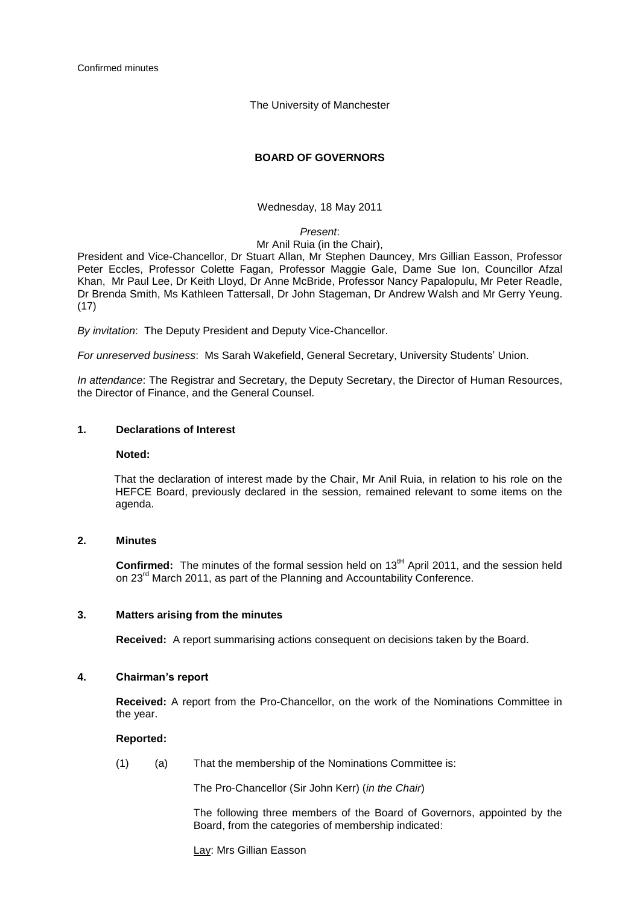The University of Manchester

# **BOARD OF GOVERNORS**

Wednesday, 18 May 2011

## *Present*:

## Mr Anil Ruia (in the Chair),

President and Vice-Chancellor, Dr Stuart Allan, Mr Stephen Dauncey, Mrs Gillian Easson, Professor Peter Eccles, Professor Colette Fagan, Professor Maggie Gale, Dame Sue Ion, Councillor Afzal Khan, Mr Paul Lee, Dr Keith Lloyd, Dr Anne McBride, Professor Nancy Papalopulu, Mr Peter Readle, Dr Brenda Smith, Ms Kathleen Tattersall, Dr John Stageman, Dr Andrew Walsh and Mr Gerry Yeung. (17)

*By invitation*: The Deputy President and Deputy Vice-Chancellor.

*For unreserved business*: Ms Sarah Wakefield, General Secretary, University Students" Union.

*In attendance*: The Registrar and Secretary, the Deputy Secretary, the Director of Human Resources, the Director of Finance, and the General Counsel.

## **1. Declarations of Interest**

### **Noted:**

That the declaration of interest made by the Chair, Mr Anil Ruia, in relation to his role on the HEFCE Board, previously declared in the session, remained relevant to some items on the agenda.

### **2. Minutes**

Confirmed: The minutes of the formal session held on 13<sup>tH</sup> April 2011, and the session held on 23<sup>rd</sup> March 2011, as part of the Planning and Accountability Conference.

### **3. Matters arising from the minutes**

**Received:** A report summarising actions consequent on decisions taken by the Board.

## **4. Chairman's report**

**Received:** A report from the Pro-Chancellor, on the work of the Nominations Committee in the year.

## **Reported:**

(1) (a) That the membership of the Nominations Committee is:

The Pro-Chancellor (Sir John Kerr) (*in the Chair*)

The following three members of the Board of Governors, appointed by the Board, from the categories of membership indicated:

Lay: Mrs Gillian Easson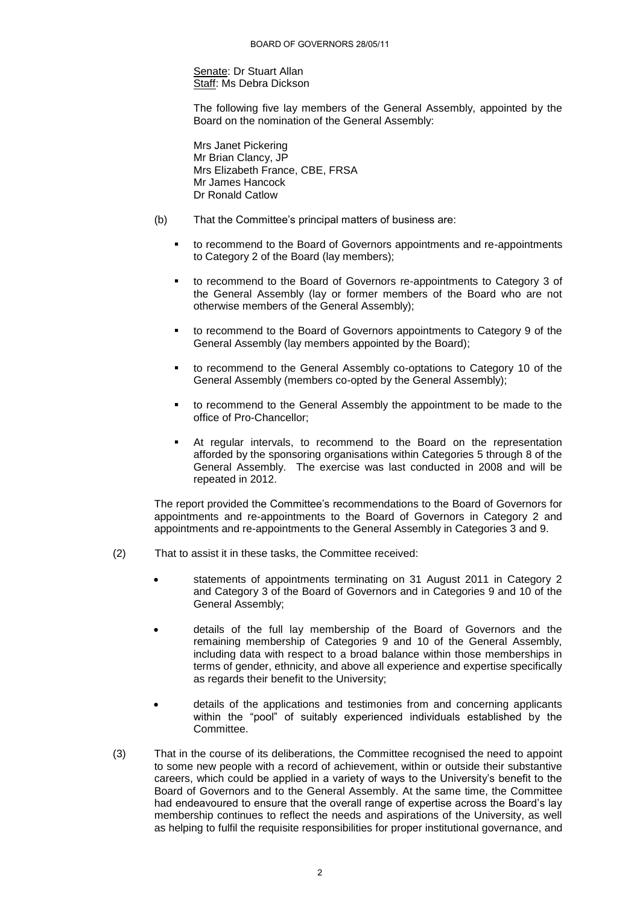Senate: Dr Stuart Allan Staff: Ms Debra Dickson

The following five lay members of the General Assembly, appointed by the Board on the nomination of the General Assembly:

Mrs Janet Pickering Mr Brian Clancy, JP Mrs Elizabeth France, CBE, FRSA Mr James Hancock Dr Ronald Catlow

- (b) That the Committee"s principal matters of business are:
	- to recommend to the Board of Governors appointments and re-appointments to Category 2 of the Board (lay members);
	- to recommend to the Board of Governors re-appointments to Category 3 of the General Assembly (lay or former members of the Board who are not otherwise members of the General Assembly);
	- to recommend to the Board of Governors appointments to Category 9 of the General Assembly (lay members appointed by the Board);
	- to recommend to the General Assembly co-optations to Category 10 of the General Assembly (members co-opted by the General Assembly);
	- to recommend to the General Assembly the appointment to be made to the office of Pro-Chancellor;
	- At regular intervals, to recommend to the Board on the representation afforded by the sponsoring organisations within Categories 5 through 8 of the General Assembly. The exercise was last conducted in 2008 and will be repeated in 2012.

The report provided the Committee"s recommendations to the Board of Governors for appointments and re-appointments to the Board of Governors in Category 2 and appointments and re-appointments to the General Assembly in Categories 3 and 9.

- (2) That to assist it in these tasks, the Committee received:
	- statements of appointments terminating on 31 August 2011 in Category 2 and Category 3 of the Board of Governors and in Categories 9 and 10 of the General Assembly;
	- details of the full lay membership of the Board of Governors and the remaining membership of Categories 9 and 10 of the General Assembly, including data with respect to a broad balance within those memberships in terms of gender, ethnicity, and above all experience and expertise specifically as regards their benefit to the University;
	- details of the applications and testimonies from and concerning applicants within the "pool" of suitably experienced individuals established by the Committee.
- (3) That in the course of its deliberations, the Committee recognised the need to appoint to some new people with a record of achievement, within or outside their substantive careers, which could be applied in a variety of ways to the University"s benefit to the Board of Governors and to the General Assembly. At the same time, the Committee had endeavoured to ensure that the overall range of expertise across the Board"s lay membership continues to reflect the needs and aspirations of the University, as well as helping to fulfil the requisite responsibilities for proper institutional governance, and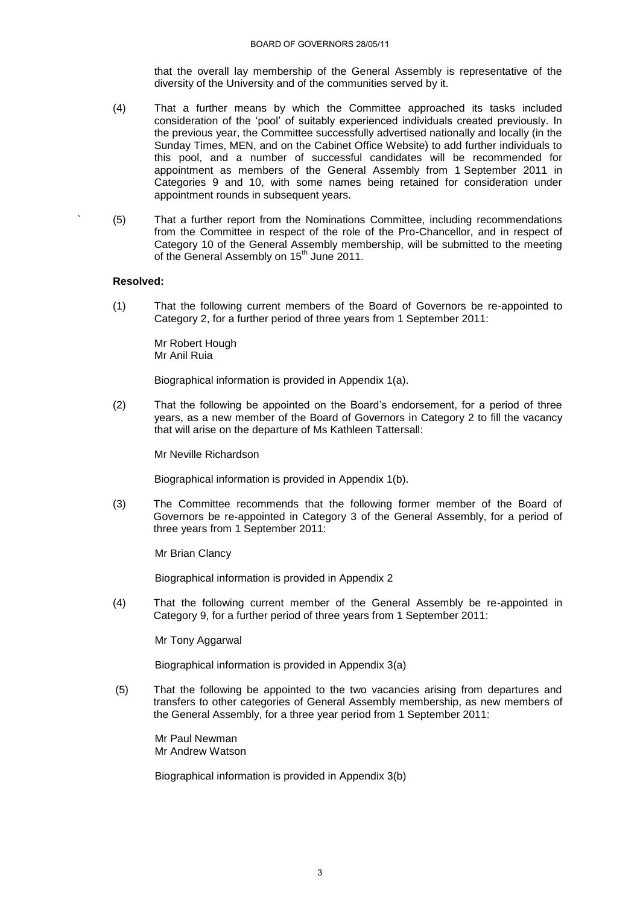that the overall lay membership of the General Assembly is representative of the diversity of the University and of the communities served by it.

- (4) That a further means by which the Committee approached its tasks included consideration of the "pool" of suitably experienced individuals created previously. In the previous year, the Committee successfully advertised nationally and locally (in the Sunday Times, MEN, and on the Cabinet Office Website) to add further individuals to this pool, and a number of successful candidates will be recommended for appointment as members of the General Assembly from 1 September 2011 in Categories 9 and 10, with some names being retained for consideration under appointment rounds in subsequent years.
- ` (5) That a further report from the Nominations Committee, including recommendations from the Committee in respect of the role of the Pro-Chancellor, and in respect of Category 10 of the General Assembly membership, will be submitted to the meeting of the General Assembly on 15<sup>th</sup> June 2011.

## **Resolved:**

(1) That the following current members of the Board of Governors be re-appointed to Category 2, for a further period of three years from 1 September 2011:

Mr Robert Hough Mr Anil Ruia

Biographical information is provided in Appendix 1(a).

(2) That the following be appointed on the Board"s endorsement, for a period of three years, as a new member of the Board of Governors in Category 2 to fill the vacancy that will arise on the departure of Ms Kathleen Tattersall:

Mr Neville Richardson

Biographical information is provided in Appendix 1(b).

(3) The Committee recommends that the following former member of the Board of Governors be re-appointed in Category 3 of the General Assembly, for a period of three years from 1 September 2011:

Mr Brian Clancy

Biographical information is provided in Appendix 2

(4) That the following current member of the General Assembly be re-appointed in Category 9, for a further period of three years from 1 September 2011:

Mr Tony Aggarwal

Biographical information is provided in Appendix 3(a)

(5) That the following be appointed to the two vacancies arising from departures and transfers to other categories of General Assembly membership, as new members of the General Assembly, for a three year period from 1 September 2011:

Mr Paul Newman Mr Andrew Watson

Biographical information is provided in Appendix 3(b)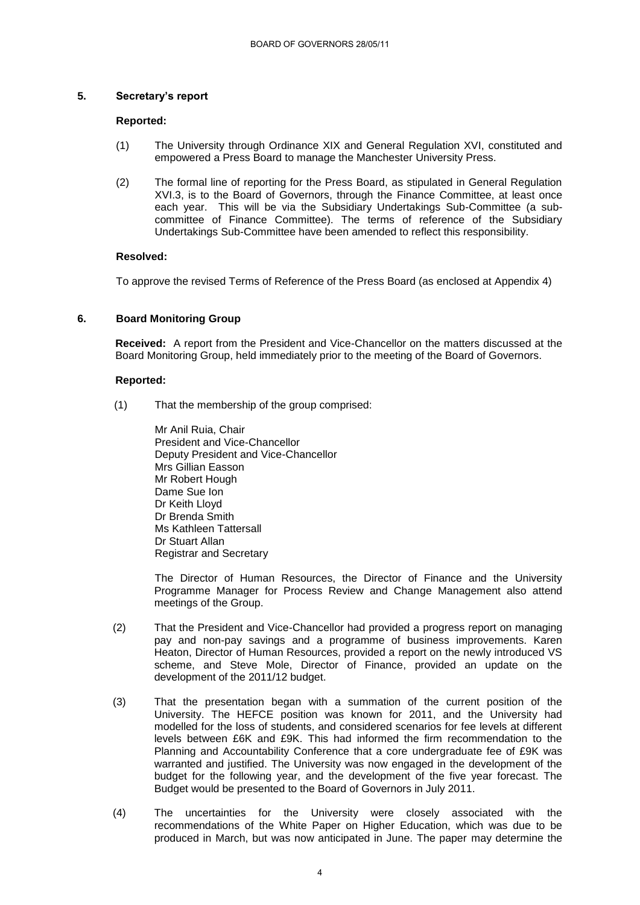# **5. Secretary's report**

# **Reported:**

- (1) The University through Ordinance XIX and General Regulation XVI, constituted and empowered a Press Board to manage the Manchester University Press.
- (2) The formal line of reporting for the Press Board, as stipulated in General Regulation XVI.3, is to the Board of Governors, through the Finance Committee, at least once each year. This will be via the Subsidiary Undertakings Sub-Committee (a subcommittee of Finance Committee). The terms of reference of the Subsidiary Undertakings Sub-Committee have been amended to reflect this responsibility.

## **Resolved:**

To approve the revised Terms of Reference of the Press Board (as enclosed at Appendix 4)

## **6. Board Monitoring Group**

**Received:** A report from the President and Vice-Chancellor on the matters discussed at the Board Monitoring Group, held immediately prior to the meeting of the Board of Governors.

### **Reported:**

(1) That the membership of the group comprised:

Mr Anil Ruia, Chair President and Vice-Chancellor Deputy President and Vice-Chancellor Mrs Gillian Easson Mr Robert Hough Dame Sue Ion Dr Keith Lloyd Dr Brenda Smith Ms Kathleen Tattersall Dr Stuart Allan Registrar and Secretary

The Director of Human Resources, the Director of Finance and the University Programme Manager for Process Review and Change Management also attend meetings of the Group.

- (2) That the President and Vice-Chancellor had provided a progress report on managing pay and non-pay savings and a programme of business improvements. Karen Heaton, Director of Human Resources, provided a report on the newly introduced VS scheme, and Steve Mole, Director of Finance, provided an update on the development of the 2011/12 budget.
- (3) That the presentation began with a summation of the current position of the University. The HEFCE position was known for 2011, and the University had modelled for the loss of students, and considered scenarios for fee levels at different levels between £6K and £9K. This had informed the firm recommendation to the Planning and Accountability Conference that a core undergraduate fee of £9K was warranted and justified. The University was now engaged in the development of the budget for the following year, and the development of the five year forecast. The Budget would be presented to the Board of Governors in July 2011.
- (4) The uncertainties for the University were closely associated with the recommendations of the White Paper on Higher Education, which was due to be produced in March, but was now anticipated in June. The paper may determine the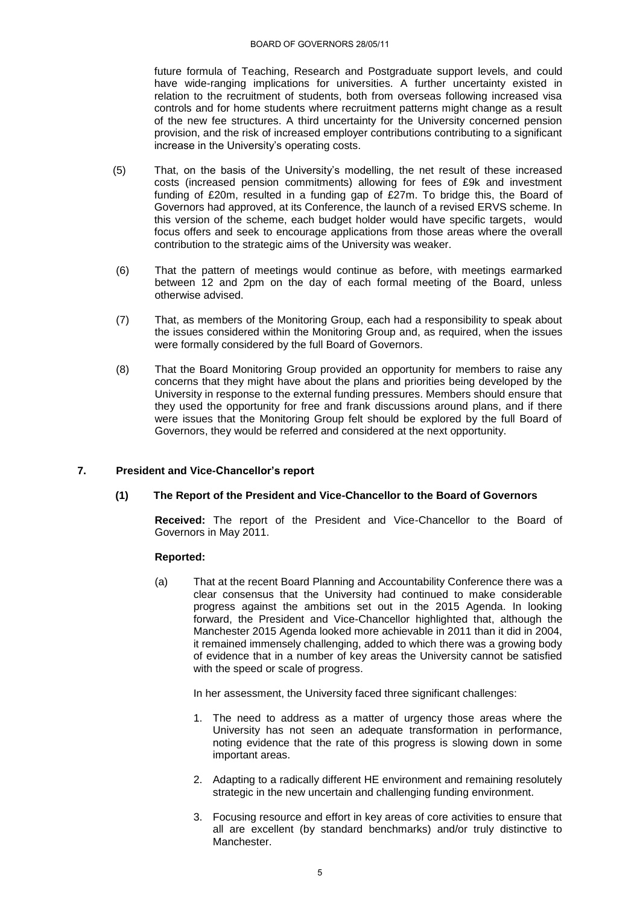future formula of Teaching, Research and Postgraduate support levels, and could have wide-ranging implications for universities. A further uncertainty existed in relation to the recruitment of students, both from overseas following increased visa controls and for home students where recruitment patterns might change as a result of the new fee structures. A third uncertainty for the University concerned pension provision, and the risk of increased employer contributions contributing to a significant increase in the University"s operating costs.

- (5) That, on the basis of the University"s modelling, the net result of these increased costs (increased pension commitments) allowing for fees of £9k and investment funding of £20m, resulted in a funding gap of £27m. To bridge this, the Board of Governors had approved, at its Conference, the launch of a revised ERVS scheme. In this version of the scheme, each budget holder would have specific targets, would focus offers and seek to encourage applications from those areas where the overall contribution to the strategic aims of the University was weaker.
- (6) That the pattern of meetings would continue as before, with meetings earmarked between 12 and 2pm on the day of each formal meeting of the Board, unless otherwise advised.
- (7) That, as members of the Monitoring Group, each had a responsibility to speak about the issues considered within the Monitoring Group and, as required, when the issues were formally considered by the full Board of Governors.
- (8) That the Board Monitoring Group provided an opportunity for members to raise any concerns that they might have about the plans and priorities being developed by the University in response to the external funding pressures. Members should ensure that they used the opportunity for free and frank discussions around plans, and if there were issues that the Monitoring Group felt should be explored by the full Board of Governors, they would be referred and considered at the next opportunity.

# **7. President and Vice-Chancellor's report**

### **(1) The Report of the President and Vice-Chancellor to the Board of Governors**

**Received:** The report of the President and Vice-Chancellor to the Board of Governors in May 2011.

### **Reported:**

(a) That at the recent Board Planning and Accountability Conference there was a clear consensus that the University had continued to make considerable progress against the ambitions set out in the 2015 Agenda. In looking forward, the President and Vice-Chancellor highlighted that, although the Manchester 2015 Agenda looked more achievable in 2011 than it did in 2004, it remained immensely challenging, added to which there was a growing body of evidence that in a number of key areas the University cannot be satisfied with the speed or scale of progress.

In her assessment, the University faced three significant challenges:

- 1. The need to address as a matter of urgency those areas where the University has not seen an adequate transformation in performance, noting evidence that the rate of this progress is slowing down in some important areas.
- 2. Adapting to a radically different HE environment and remaining resolutely strategic in the new uncertain and challenging funding environment.
- 3. Focusing resource and effort in key areas of core activities to ensure that all are excellent (by standard benchmarks) and/or truly distinctive to Manchester.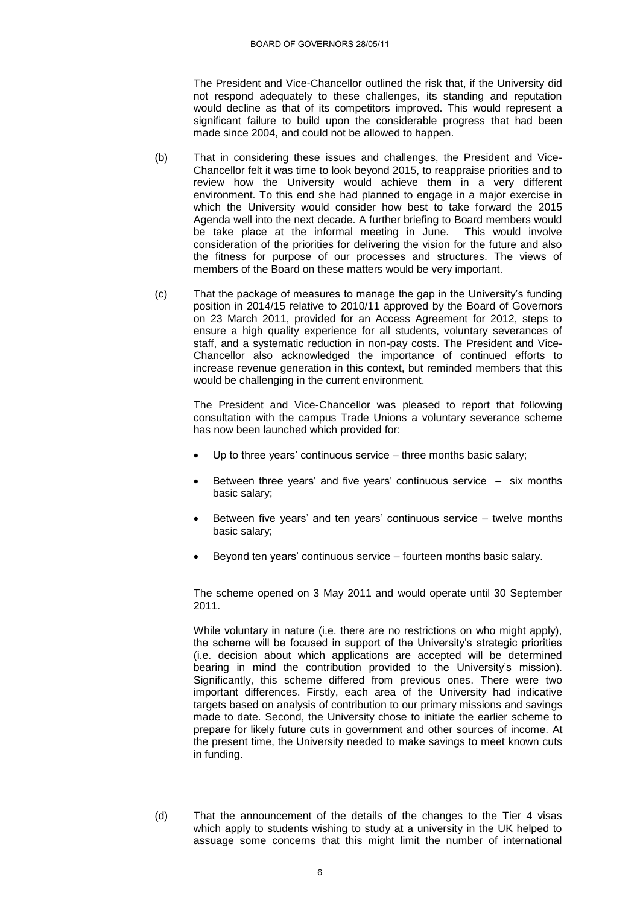The President and Vice-Chancellor outlined the risk that, if the University did not respond adequately to these challenges, its standing and reputation would decline as that of its competitors improved. This would represent a significant failure to build upon the considerable progress that had been made since 2004, and could not be allowed to happen.

- (b) That in considering these issues and challenges, the President and Vice-Chancellor felt it was time to look beyond 2015, to reappraise priorities and to review how the University would achieve them in a very different environment. To this end she had planned to engage in a major exercise in which the University would consider how best to take forward the 2015 Agenda well into the next decade. A further briefing to Board members would be take place at the informal meeting in June. This would involve consideration of the priorities for delivering the vision for the future and also the fitness for purpose of our processes and structures. The views of members of the Board on these matters would be very important.
- (c) That the package of measures to manage the gap in the University"s funding position in 2014/15 relative to 2010/11 approved by the Board of Governors on 23 March 2011, provided for an Access Agreement for 2012, steps to ensure a high quality experience for all students, voluntary severances of staff, and a systematic reduction in non-pay costs. The President and Vice-Chancellor also acknowledged the importance of continued efforts to increase revenue generation in this context, but reminded members that this would be challenging in the current environment.

The President and Vice-Chancellor was pleased to report that following consultation with the campus Trade Unions a voluntary severance scheme has now been launched which provided for:

- Up to three years" continuous service three months basic salary;
- Between three years' and five years' continuous service  $-$  six months basic salary;
- Between five years" and ten years" continuous service twelve months basic salary;
- Beyond ten years" continuous service fourteen months basic salary.

The scheme opened on 3 May 2011 and would operate until 30 September 2011.

While voluntary in nature (i.e. there are no restrictions on who might apply). the scheme will be focused in support of the University"s strategic priorities (i.e. decision about which applications are accepted will be determined bearing in mind the contribution provided to the University's mission). Significantly, this scheme differed from previous ones. There were two important differences. Firstly, each area of the University had indicative targets based on analysis of contribution to our primary missions and savings made to date. Second, the University chose to initiate the earlier scheme to prepare for likely future cuts in government and other sources of income. At the present time, the University needed to make savings to meet known cuts in funding.

(d) That the announcement of the details of the changes to the Tier 4 visas which apply to students wishing to study at a university in the UK helped to assuage some concerns that this might limit the number of international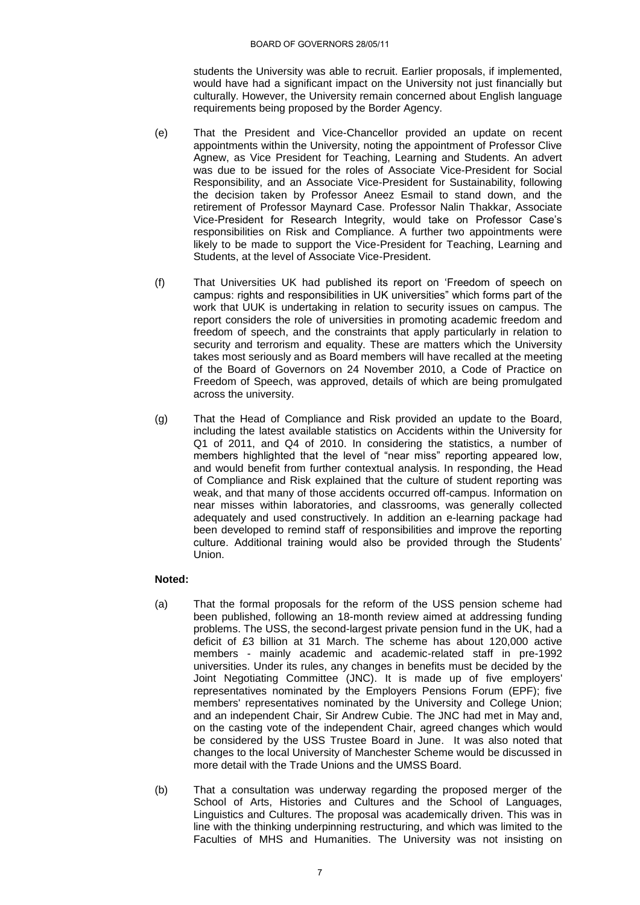students the University was able to recruit. Earlier proposals, if implemented, would have had a significant impact on the University not just financially but culturally. However, the University remain concerned about English language requirements being proposed by the Border Agency.

- (e) That the President and Vice-Chancellor provided an update on recent appointments within the University, noting the appointment of Professor Clive Agnew, as Vice President for Teaching, Learning and Students. An advert was due to be issued for the roles of Associate Vice-President for Social Responsibility, and an Associate Vice-President for Sustainability, following the decision taken by Professor Aneez Esmail to stand down, and the retirement of Professor Maynard Case. Professor Nalin Thakkar, Associate Vice-President for Research Integrity, would take on Professor Case"s responsibilities on Risk and Compliance. A further two appointments were likely to be made to support the Vice-President for Teaching, Learning and Students, at the level of Associate Vice-President.
- (f) That Universities UK had published its report on "Freedom of speech on campus: rights and responsibilities in UK universities" which forms part of the work that UUK is undertaking in relation to security issues on campus. The report considers the role of universities in promoting academic freedom and freedom of speech, and the constraints that apply particularly in relation to security and terrorism and equality. These are matters which the University takes most seriously and as Board members will have recalled at the meeting of the Board of Governors on 24 November 2010, a Code of Practice on Freedom of Speech, was approved, details of which are being promulgated across the university.
- (g) That the Head of Compliance and Risk provided an update to the Board, including the latest available statistics on Accidents within the University for Q1 of 2011, and Q4 of 2010. In considering the statistics, a number of members highlighted that the level of "near miss" reporting appeared low, and would benefit from further contextual analysis. In responding, the Head of Compliance and Risk explained that the culture of student reporting was weak, and that many of those accidents occurred off-campus. Information on near misses within laboratories, and classrooms, was generally collected adequately and used constructively. In addition an e-learning package had been developed to remind staff of responsibilities and improve the reporting culture. Additional training would also be provided through the Students" Union.

### **Noted:**

- (a) That the formal proposals for the reform of the USS pension scheme had been published, following an 18-month review aimed at addressing funding problems. The USS, the second-largest private pension fund in the UK, had a deficit of £3 billion at 31 March. The scheme has about 120,000 active members - mainly academic and academic-related staff in pre-1992 universities. Under its rules, any changes in benefits must be decided by the Joint Negotiating Committee (JNC). It is made up of five employers' representatives nominated by the Employers Pensions Forum (EPF); five members' representatives nominated by the University and College Union; and an independent Chair, Sir Andrew Cubie. The JNC had met in May and, on the casting vote of the independent Chair, agreed changes which would be considered by the USS Trustee Board in June. It was also noted that changes to the local University of Manchester Scheme would be discussed in more detail with the Trade Unions and the UMSS Board.
- (b) That a consultation was underway regarding the proposed merger of the School of Arts, Histories and Cultures and the School of Languages, Linguistics and Cultures. The proposal was academically driven. This was in line with the thinking underpinning restructuring, and which was limited to the Faculties of MHS and Humanities. The University was not insisting on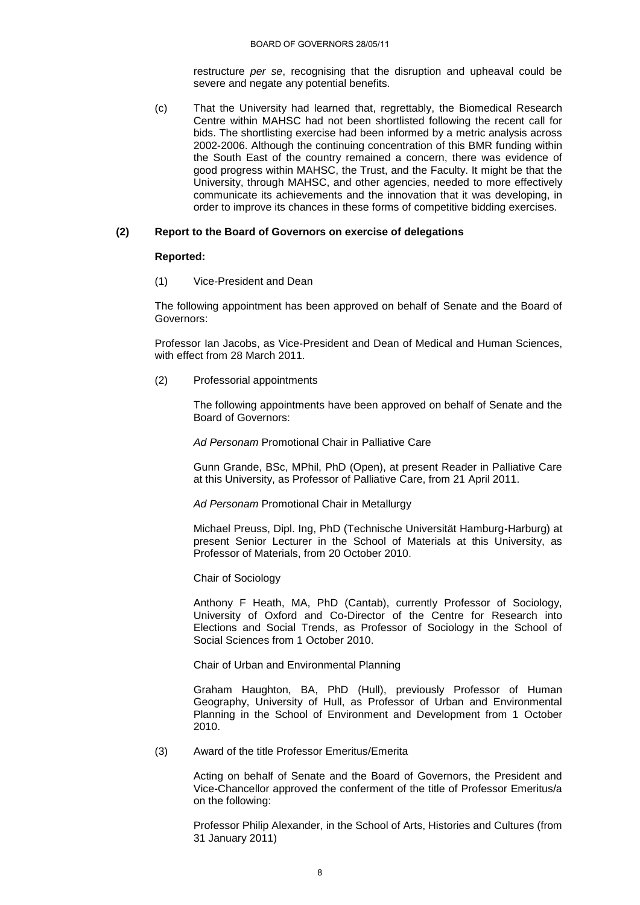restructure *per se*, recognising that the disruption and upheaval could be severe and negate any potential benefits.

(c) That the University had learned that, regrettably, the Biomedical Research Centre within MAHSC had not been shortlisted following the recent call for bids. The shortlisting exercise had been informed by a metric analysis across 2002-2006. Although the continuing concentration of this BMR funding within the South East of the country remained a concern, there was evidence of good progress within MAHSC, the Trust, and the Faculty. It might be that the University, through MAHSC, and other agencies, needed to more effectively communicate its achievements and the innovation that it was developing, in order to improve its chances in these forms of competitive bidding exercises.

### **(2) Report to the Board of Governors on exercise of delegations**

#### **Reported:**

(1) Vice-President and Dean

The following appointment has been approved on behalf of Senate and the Board of Governors:

Professor Ian Jacobs, as Vice-President and Dean of Medical and Human Sciences, with effect from 28 March 2011.

(2) Professorial appointments

The following appointments have been approved on behalf of Senate and the Board of Governors:

*Ad Personam* Promotional Chair in Palliative Care

Gunn Grande, BSc, MPhil, PhD (Open), at present Reader in Palliative Care at this University, as Professor of Palliative Care, from 21 April 2011.

*Ad Personam* Promotional Chair in Metallurgy

Michael Preuss, Dipl. Ing, PhD (Technische Universität Hamburg-Harburg) at present Senior Lecturer in the School of Materials at this University, as Professor of Materials, from 20 October 2010.

Chair of Sociology

Anthony F Heath, MA, PhD (Cantab), currently Professor of Sociology, University of Oxford and Co-Director of the Centre for Research into Elections and Social Trends, as Professor of Sociology in the School of Social Sciences from 1 October 2010.

Chair of Urban and Environmental Planning

Graham Haughton, BA, PhD (Hull), previously Professor of Human Geography, University of Hull, as Professor of Urban and Environmental Planning in the School of Environment and Development from 1 October 2010.

(3) Award of the title Professor Emeritus/Emerita

Acting on behalf of Senate and the Board of Governors, the President and Vice-Chancellor approved the conferment of the title of Professor Emeritus/a on the following:

Professor Philip Alexander, in the School of Arts, Histories and Cultures (from 31 January 2011)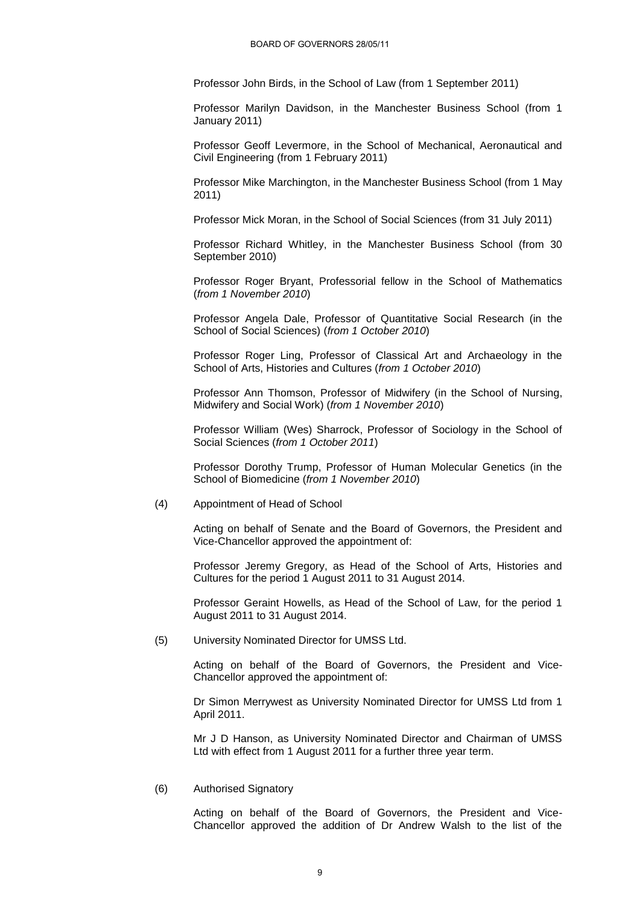Professor John Birds, in the School of Law (from 1 September 2011)

Professor Marilyn Davidson, in the Manchester Business School (from 1 January 2011)

Professor Geoff Levermore, in the School of Mechanical, Aeronautical and Civil Engineering (from 1 February 2011)

Professor Mike Marchington, in the Manchester Business School (from 1 May 2011)

Professor Mick Moran, in the School of Social Sciences (from 31 July 2011)

Professor Richard Whitley, in the Manchester Business School (from 30 September 2010)

Professor Roger Bryant, Professorial fellow in the School of Mathematics (*from 1 November 2010*)

Professor Angela Dale, Professor of Quantitative Social Research (in the School of Social Sciences) (*from 1 October 2010*)

Professor Roger Ling, Professor of Classical Art and Archaeology in the School of Arts, Histories and Cultures (*from 1 October 2010*)

Professor Ann Thomson, Professor of Midwifery (in the School of Nursing, Midwifery and Social Work) (*from 1 November 2010*)

Professor William (Wes) Sharrock, Professor of Sociology in the School of Social Sciences (*from 1 October 2011*)

Professor Dorothy Trump, Professor of Human Molecular Genetics (in the School of Biomedicine (*from 1 November 2010*)

#### (4) Appointment of Head of School

Acting on behalf of Senate and the Board of Governors, the President and Vice-Chancellor approved the appointment of:

Professor Jeremy Gregory, as Head of the School of Arts, Histories and Cultures for the period 1 August 2011 to 31 August 2014.

Professor Geraint Howells, as Head of the School of Law, for the period 1 August 2011 to 31 August 2014.

(5) University Nominated Director for UMSS Ltd.

Acting on behalf of the Board of Governors, the President and Vice-Chancellor approved the appointment of:

Dr Simon Merrywest as University Nominated Director for UMSS Ltd from 1 April 2011.

Mr J D Hanson, as University Nominated Director and Chairman of UMSS Ltd with effect from 1 August 2011 for a further three year term.

(6) Authorised Signatory

Acting on behalf of the Board of Governors, the President and Vice-Chancellor approved the addition of Dr Andrew Walsh to the list of the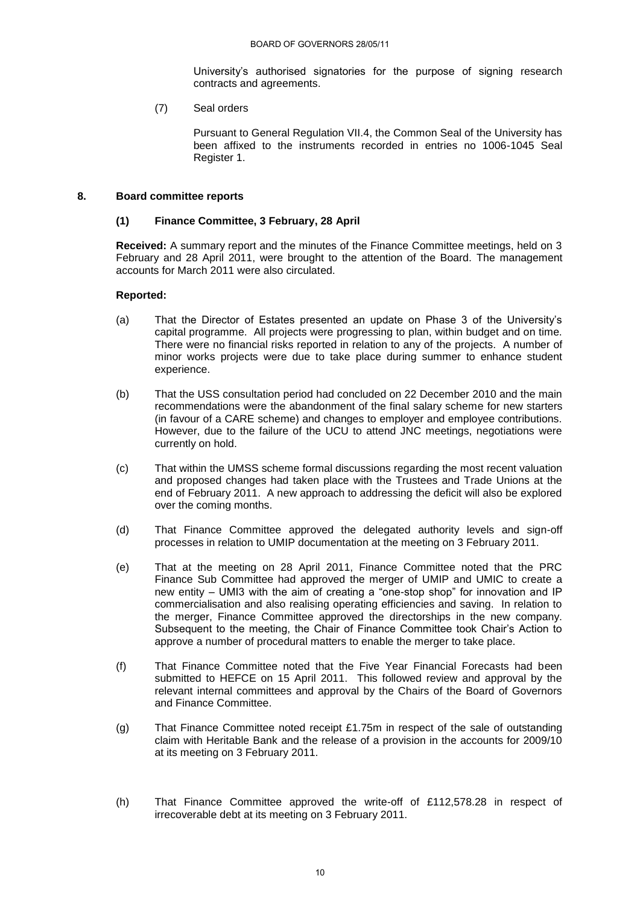University's authorised signatories for the purpose of signing research contracts and agreements.

(7) Seal orders

Pursuant to General Regulation VII.4, the Common Seal of the University has been affixed to the instruments recorded in entries no 1006-1045 Seal Register 1.

### **8. Board committee reports**

### **(1) Finance Committee, 3 February, 28 April**

**Received:** A summary report and the minutes of the Finance Committee meetings, held on 3 February and 28 April 2011, were brought to the attention of the Board. The management accounts for March 2011 were also circulated.

- (a) That the Director of Estates presented an update on Phase 3 of the University"s capital programme. All projects were progressing to plan, within budget and on time. There were no financial risks reported in relation to any of the projects. A number of minor works projects were due to take place during summer to enhance student experience.
- (b) That the USS consultation period had concluded on 22 December 2010 and the main recommendations were the abandonment of the final salary scheme for new starters (in favour of a CARE scheme) and changes to employer and employee contributions. However, due to the failure of the UCU to attend JNC meetings, negotiations were currently on hold.
- (c) That within the UMSS scheme formal discussions regarding the most recent valuation and proposed changes had taken place with the Trustees and Trade Unions at the end of February 2011. A new approach to addressing the deficit will also be explored over the coming months.
- (d) That Finance Committee approved the delegated authority levels and sign-off processes in relation to UMIP documentation at the meeting on 3 February 2011.
- (e) That at the meeting on 28 April 2011, Finance Committee noted that the PRC Finance Sub Committee had approved the merger of UMIP and UMIC to create a new entity – UMI3 with the aim of creating a "one-stop shop" for innovation and IP commercialisation and also realising operating efficiencies and saving. In relation to the merger, Finance Committee approved the directorships in the new company. Subsequent to the meeting, the Chair of Finance Committee took Chair's Action to approve a number of procedural matters to enable the merger to take place.
- (f) That Finance Committee noted that the Five Year Financial Forecasts had been submitted to HEFCE on 15 April 2011. This followed review and approval by the relevant internal committees and approval by the Chairs of the Board of Governors and Finance Committee.
- (g) That Finance Committee noted receipt £1.75m in respect of the sale of outstanding claim with Heritable Bank and the release of a provision in the accounts for 2009/10 at its meeting on 3 February 2011.
- (h) That Finance Committee approved the write-off of £112,578.28 in respect of irrecoverable debt at its meeting on 3 February 2011.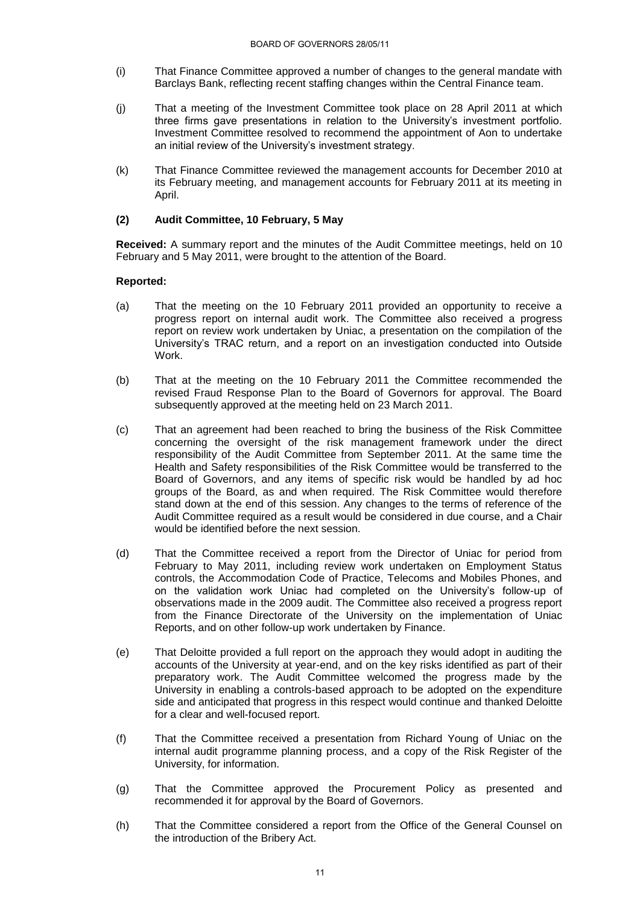- (i) That Finance Committee approved a number of changes to the general mandate with Barclays Bank, reflecting recent staffing changes within the Central Finance team.
- (j) That a meeting of the Investment Committee took place on 28 April 2011 at which three firms gave presentations in relation to the University"s investment portfolio. Investment Committee resolved to recommend the appointment of Aon to undertake an initial review of the University's investment strategy.
- (k) That Finance Committee reviewed the management accounts for December 2010 at its February meeting, and management accounts for February 2011 at its meeting in April.

# **(2) Audit Committee, 10 February, 5 May**

**Received:** A summary report and the minutes of the Audit Committee meetings, held on 10 February and 5 May 2011, were brought to the attention of the Board.

- (a) That the meeting on the 10 February 2011 provided an opportunity to receive a progress report on internal audit work. The Committee also received a progress report on review work undertaken by Uniac, a presentation on the compilation of the University"s TRAC return, and a report on an investigation conducted into Outside Work.
- (b) That at the meeting on the 10 February 2011 the Committee recommended the revised Fraud Response Plan to the Board of Governors for approval. The Board subsequently approved at the meeting held on 23 March 2011.
- (c) That an agreement had been reached to bring the business of the Risk Committee concerning the oversight of the risk management framework under the direct responsibility of the Audit Committee from September 2011. At the same time the Health and Safety responsibilities of the Risk Committee would be transferred to the Board of Governors, and any items of specific risk would be handled by ad hoc groups of the Board, as and when required. The Risk Committee would therefore stand down at the end of this session. Any changes to the terms of reference of the Audit Committee required as a result would be considered in due course, and a Chair would be identified before the next session.
- (d) That the Committee received a report from the Director of Uniac for period from February to May 2011, including review work undertaken on Employment Status controls, the Accommodation Code of Practice, Telecoms and Mobiles Phones, and on the validation work Uniac had completed on the University"s follow-up of observations made in the 2009 audit. The Committee also received a progress report from the Finance Directorate of the University on the implementation of Uniac Reports, and on other follow-up work undertaken by Finance.
- (e) That Deloitte provided a full report on the approach they would adopt in auditing the accounts of the University at year-end, and on the key risks identified as part of their preparatory work. The Audit Committee welcomed the progress made by the University in enabling a controls-based approach to be adopted on the expenditure side and anticipated that progress in this respect would continue and thanked Deloitte for a clear and well-focused report.
- (f) That the Committee received a presentation from Richard Young of Uniac on the internal audit programme planning process, and a copy of the Risk Register of the University, for information.
- (g) That the Committee approved the Procurement Policy as presented and recommended it for approval by the Board of Governors.
- (h) That the Committee considered a report from the Office of the General Counsel on the introduction of the Bribery Act.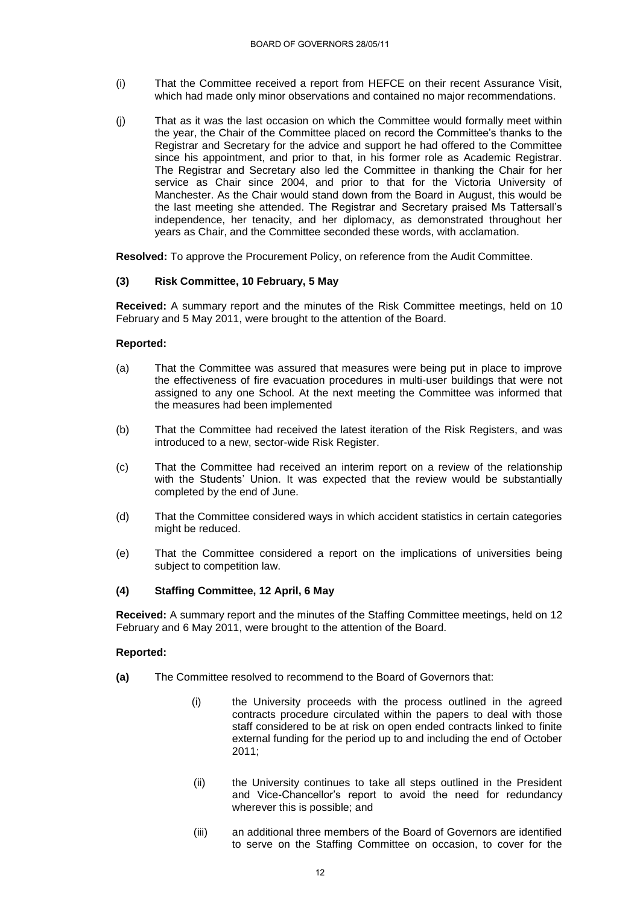- (i) That the Committee received a report from HEFCE on their recent Assurance Visit, which had made only minor observations and contained no major recommendations.
- (j) That as it was the last occasion on which the Committee would formally meet within the year, the Chair of the Committee placed on record the Committee"s thanks to the Registrar and Secretary for the advice and support he had offered to the Committee since his appointment, and prior to that, in his former role as Academic Registrar. The Registrar and Secretary also led the Committee in thanking the Chair for her service as Chair since 2004, and prior to that for the Victoria University of Manchester. As the Chair would stand down from the Board in August, this would be the last meeting she attended. The Registrar and Secretary praised Ms Tattersall"s independence, her tenacity, and her diplomacy, as demonstrated throughout her years as Chair, and the Committee seconded these words, with acclamation.

**Resolved:** To approve the Procurement Policy, on reference from the Audit Committee.

# **(3) Risk Committee, 10 February, 5 May**

**Received:** A summary report and the minutes of the Risk Committee meetings, held on 10 February and 5 May 2011, were brought to the attention of the Board.

## **Reported:**

- (a) That the Committee was assured that measures were being put in place to improve the effectiveness of fire evacuation procedures in multi-user buildings that were not assigned to any one School. At the next meeting the Committee was informed that the measures had been implemented
- (b) That the Committee had received the latest iteration of the Risk Registers, and was introduced to a new, sector-wide Risk Register.
- (c) That the Committee had received an interim report on a review of the relationship with the Students' Union. It was expected that the review would be substantially completed by the end of June.
- (d) That the Committee considered ways in which accident statistics in certain categories might be reduced.
- (e) That the Committee considered a report on the implications of universities being subject to competition law.

# **(4) Staffing Committee, 12 April, 6 May**

**Received:** A summary report and the minutes of the Staffing Committee meetings, held on 12 February and 6 May 2011, were brought to the attention of the Board.

- **(a)** The Committee resolved to recommend to the Board of Governors that:
	- (i) the University proceeds with the process outlined in the agreed contracts procedure circulated within the papers to deal with those staff considered to be at risk on open ended contracts linked to finite external funding for the period up to and including the end of October 2011;
	- (ii) the University continues to take all steps outlined in the President and Vice-Chancellor"s report to avoid the need for redundancy wherever this is possible; and
	- (iii) an additional three members of the Board of Governors are identified to serve on the Staffing Committee on occasion, to cover for the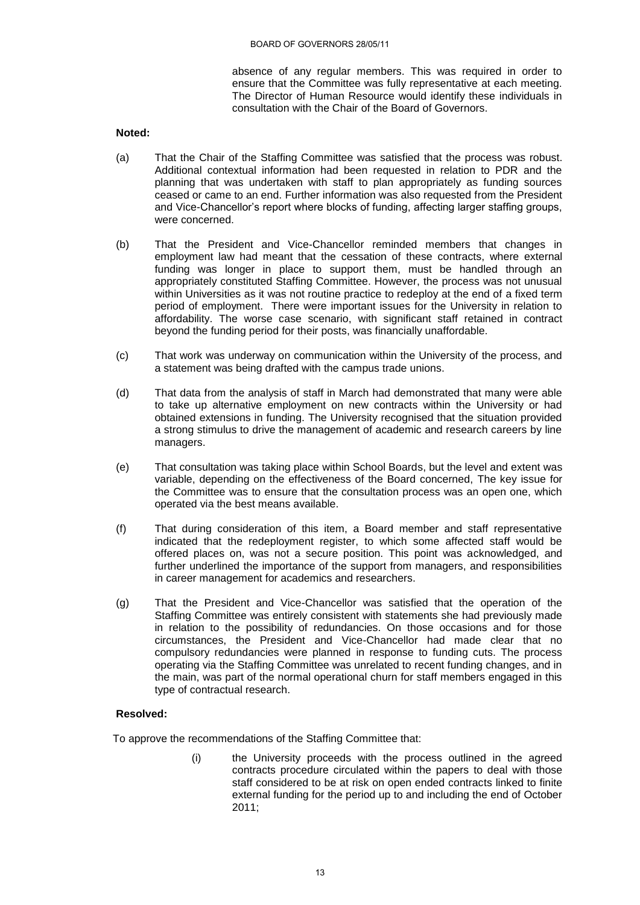absence of any regular members. This was required in order to ensure that the Committee was fully representative at each meeting. The Director of Human Resource would identify these individuals in consultation with the Chair of the Board of Governors.

## **Noted:**

- (a) That the Chair of the Staffing Committee was satisfied that the process was robust. Additional contextual information had been requested in relation to PDR and the planning that was undertaken with staff to plan appropriately as funding sources ceased or came to an end. Further information was also requested from the President and Vice-Chancellor"s report where blocks of funding, affecting larger staffing groups, were concerned.
- (b) That the President and Vice-Chancellor reminded members that changes in employment law had meant that the cessation of these contracts, where external funding was longer in place to support them, must be handled through an appropriately constituted Staffing Committee. However, the process was not unusual within Universities as it was not routine practice to redeploy at the end of a fixed term period of employment. There were important issues for the University in relation to affordability. The worse case scenario, with significant staff retained in contract beyond the funding period for their posts, was financially unaffordable.
- (c) That work was underway on communication within the University of the process, and a statement was being drafted with the campus trade unions.
- (d) That data from the analysis of staff in March had demonstrated that many were able to take up alternative employment on new contracts within the University or had obtained extensions in funding. The University recognised that the situation provided a strong stimulus to drive the management of academic and research careers by line managers.
- (e) That consultation was taking place within School Boards, but the level and extent was variable, depending on the effectiveness of the Board concerned, The key issue for the Committee was to ensure that the consultation process was an open one, which operated via the best means available.
- (f) That during consideration of this item, a Board member and staff representative indicated that the redeployment register, to which some affected staff would be offered places on, was not a secure position. This point was acknowledged, and further underlined the importance of the support from managers, and responsibilities in career management for academics and researchers.
- (g) That the President and Vice-Chancellor was satisfied that the operation of the Staffing Committee was entirely consistent with statements she had previously made in relation to the possibility of redundancies. On those occasions and for those circumstances, the President and Vice-Chancellor had made clear that no compulsory redundancies were planned in response to funding cuts. The process operating via the Staffing Committee was unrelated to recent funding changes, and in the main, was part of the normal operational churn for staff members engaged in this type of contractual research.

# **Resolved:**

To approve the recommendations of the Staffing Committee that:

(i) the University proceeds with the process outlined in the agreed contracts procedure circulated within the papers to deal with those staff considered to be at risk on open ended contracts linked to finite external funding for the period up to and including the end of October 2011;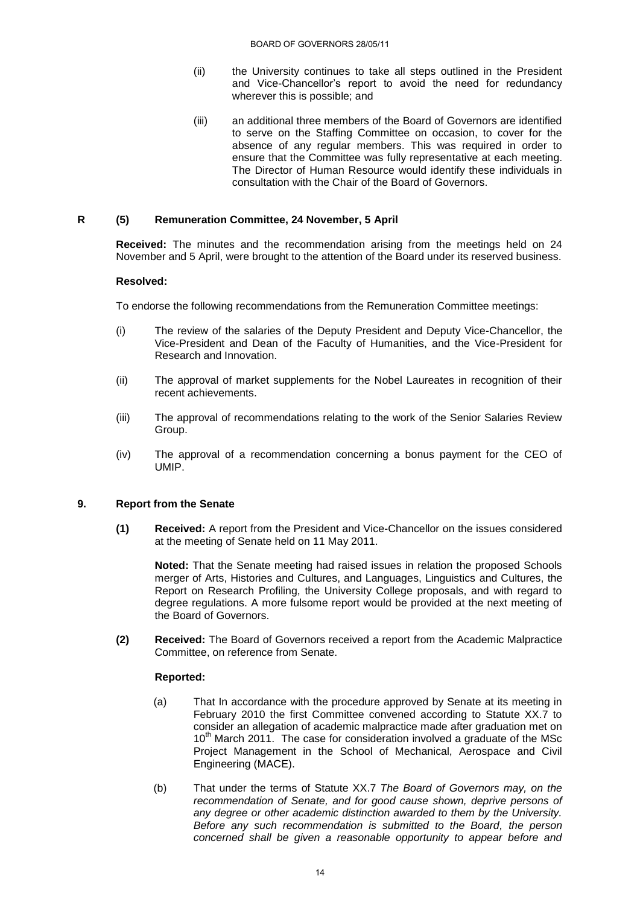- (ii) the University continues to take all steps outlined in the President and Vice-Chancellor"s report to avoid the need for redundancy wherever this is possible; and
- (iii) an additional three members of the Board of Governors are identified to serve on the Staffing Committee on occasion, to cover for the absence of any regular members. This was required in order to ensure that the Committee was fully representative at each meeting. The Director of Human Resource would identify these individuals in consultation with the Chair of the Board of Governors.

# **R (5) Remuneration Committee, 24 November, 5 April**

**Received:** The minutes and the recommendation arising from the meetings held on 24 November and 5 April, were brought to the attention of the Board under its reserved business.

### **Resolved:**

To endorse the following recommendations from the Remuneration Committee meetings:

- (i) The review of the salaries of the Deputy President and Deputy Vice-Chancellor, the Vice-President and Dean of the Faculty of Humanities, and the Vice-President for Research and Innovation.
- (ii) The approval of market supplements for the Nobel Laureates in recognition of their recent achievements.
- (iii) The approval of recommendations relating to the work of the Senior Salaries Review Group.
- (iv) The approval of a recommendation concerning a bonus payment for the CEO of UMIP.

### **9. Report from the Senate**

**(1) Received:** A report from the President and Vice-Chancellor on the issues considered at the meeting of Senate held on 11 May 2011.

**Noted:** That the Senate meeting had raised issues in relation the proposed Schools merger of Arts, Histories and Cultures, and Languages, Linguistics and Cultures, the Report on Research Profiling, the University College proposals, and with regard to degree regulations. A more fulsome report would be provided at the next meeting of the Board of Governors.

**(2) Received:** The Board of Governors received a report from the Academic Malpractice Committee, on reference from Senate.

- (a) That In accordance with the procedure approved by Senate at its meeting in February 2010 the first Committee convened according to Statute XX.7 to consider an allegation of academic malpractice made after graduation met on  $10<sup>th</sup>$  March 2011. The case for consideration involved a graduate of the MSc Project Management in the School of Mechanical, Aerospace and Civil Engineering (MACE).
- (b) That under the terms of Statute XX.7 *The Board of Governors may, on the*  recommendation of Senate, and for good cause shown, deprive persons of *any degree or other academic distinction awarded to them by the University. Before any such recommendation is submitted to the Board, the person concerned shall be given a reasonable opportunity to appear before and*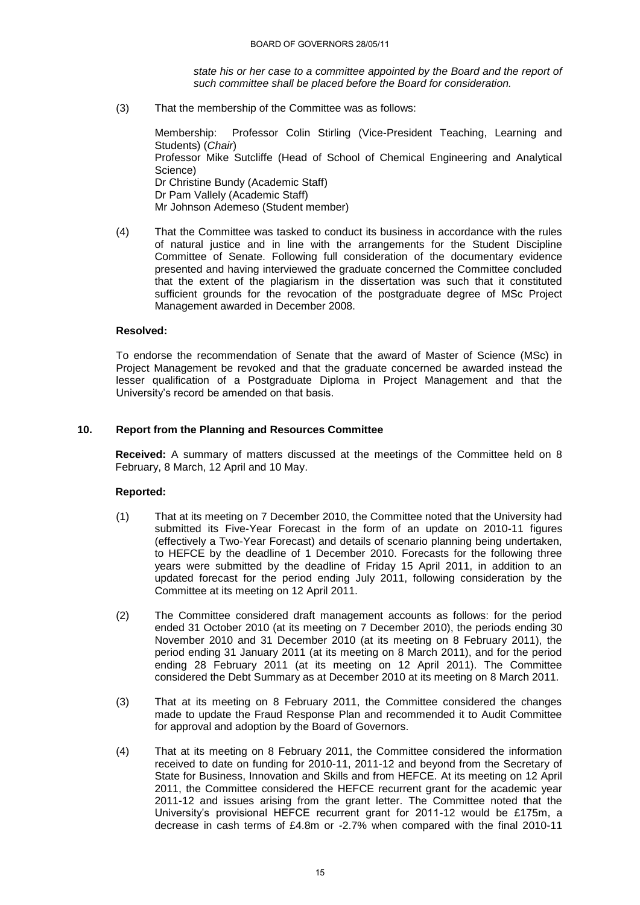*state his or her case to a committee appointed by the Board and the report of such committee shall be placed before the Board for consideration.*

(3) That the membership of the Committee was as follows:

Membership: Professor Colin Stirling (Vice-President Teaching, Learning and Students) (*Chair*) Professor Mike Sutcliffe (Head of School of Chemical Engineering and Analytical Science) Dr Christine Bundy (Academic Staff) Dr Pam Vallely (Academic Staff) Mr Johnson Ademeso (Student member)

(4) That the Committee was tasked to conduct its business in accordance with the rules of natural justice and in line with the arrangements for the Student Discipline Committee of Senate. Following full consideration of the documentary evidence presented and having interviewed the graduate concerned the Committee concluded that the extent of the plagiarism in the dissertation was such that it constituted sufficient grounds for the revocation of the postgraduate degree of MSc Project Management awarded in December 2008.

## **Resolved:**

To endorse the recommendation of Senate that the award of Master of Science (MSc) in Project Management be revoked and that the graduate concerned be awarded instead the lesser qualification of a Postgraduate Diploma in Project Management and that the University"s record be amended on that basis.

## **10. Report from the Planning and Resources Committee**

**Received:** A summary of matters discussed at the meetings of the Committee held on 8 February, 8 March, 12 April and 10 May.

- (1) That at its meeting on 7 December 2010, the Committee noted that the University had submitted its Five-Year Forecast in the form of an update on 2010-11 figures (effectively a Two-Year Forecast) and details of scenario planning being undertaken, to HEFCE by the deadline of 1 December 2010. Forecasts for the following three years were submitted by the deadline of Friday 15 April 2011, in addition to an updated forecast for the period ending July 2011, following consideration by the Committee at its meeting on 12 April 2011.
- (2) The Committee considered draft management accounts as follows: for the period ended 31 October 2010 (at its meeting on 7 December 2010), the periods ending 30 November 2010 and 31 December 2010 (at its meeting on 8 February 2011), the period ending 31 January 2011 (at its meeting on 8 March 2011), and for the period ending 28 February 2011 (at its meeting on 12 April 2011). The Committee considered the Debt Summary as at December 2010 at its meeting on 8 March 2011.
- (3) That at its meeting on 8 February 2011, the Committee considered the changes made to update the Fraud Response Plan and recommended it to Audit Committee for approval and adoption by the Board of Governors.
- (4) That at its meeting on 8 February 2011, the Committee considered the information received to date on funding for 2010-11, 2011-12 and beyond from the Secretary of State for Business, Innovation and Skills and from HEFCE. At its meeting on 12 April 2011, the Committee considered the HEFCE recurrent grant for the academic year 2011-12 and issues arising from the grant letter. The Committee noted that the University"s provisional HEFCE recurrent grant for 2011-12 would be £175m, a decrease in cash terms of £4.8m or -2.7% when compared with the final 2010-11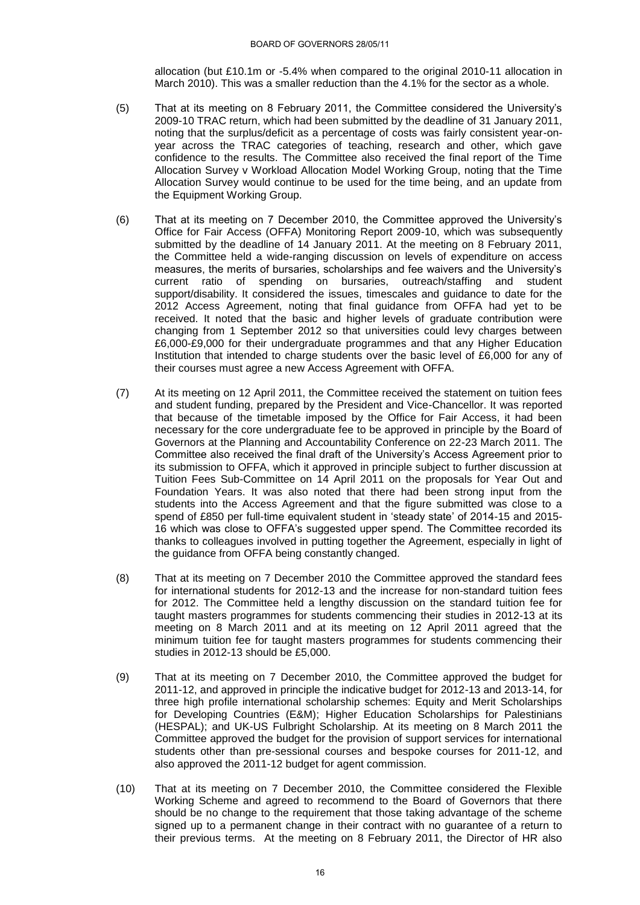allocation (but £10.1m or -5.4% when compared to the original 2010-11 allocation in March 2010). This was a smaller reduction than the 4.1% for the sector as a whole.

- (5) That at its meeting on 8 February 2011, the Committee considered the University"s 2009-10 TRAC return, which had been submitted by the deadline of 31 January 2011, noting that the surplus/deficit as a percentage of costs was fairly consistent year-onyear across the TRAC categories of teaching, research and other, which gave confidence to the results. The Committee also received the final report of the Time Allocation Survey v Workload Allocation Model Working Group, noting that the Time Allocation Survey would continue to be used for the time being, and an update from the Equipment Working Group.
- (6) That at its meeting on 7 December 2010, the Committee approved the University"s Office for Fair Access (OFFA) Monitoring Report 2009-10, which was subsequently submitted by the deadline of 14 January 2011. At the meeting on 8 February 2011, the Committee held a wide-ranging discussion on levels of expenditure on access measures, the merits of bursaries, scholarships and fee waivers and the University"s current ratio of spending on bursaries, outreach/staffing and student support/disability. It considered the issues, timescales and guidance to date for the 2012 Access Agreement, noting that final guidance from OFFA had yet to be received. It noted that the basic and higher levels of graduate contribution were changing from 1 September 2012 so that universities could levy charges between £6,000-£9,000 for their undergraduate programmes and that any Higher Education Institution that intended to charge students over the basic level of £6,000 for any of their courses must agree a new Access Agreement with OFFA.
- (7) At its meeting on 12 April 2011, the Committee received the statement on tuition fees and student funding, prepared by the President and Vice-Chancellor. It was reported that because of the timetable imposed by the Office for Fair Access, it had been necessary for the core undergraduate fee to be approved in principle by the Board of Governors at the Planning and Accountability Conference on 22-23 March 2011. The Committee also received the final draft of the University"s Access Agreement prior to its submission to OFFA, which it approved in principle subject to further discussion at Tuition Fees Sub-Committee on 14 April 2011 on the proposals for Year Out and Foundation Years. It was also noted that there had been strong input from the students into the Access Agreement and that the figure submitted was close to a spend of £850 per full-time equivalent student in "steady state" of 2014-15 and 2015- 16 which was close to OFFA"s suggested upper spend. The Committee recorded its thanks to colleagues involved in putting together the Agreement, especially in light of the guidance from OFFA being constantly changed.
- (8) That at its meeting on 7 December 2010 the Committee approved the standard fees for international students for 2012-13 and the increase for non-standard tuition fees for 2012. The Committee held a lengthy discussion on the standard tuition fee for taught masters programmes for students commencing their studies in 2012-13 at its meeting on 8 March 2011 and at its meeting on 12 April 2011 agreed that the minimum tuition fee for taught masters programmes for students commencing their studies in 2012-13 should be £5,000.
- (9) That at its meeting on 7 December 2010, the Committee approved the budget for 2011-12, and approved in principle the indicative budget for 2012-13 and 2013-14, for three high profile international scholarship schemes: Equity and Merit Scholarships for Developing Countries (E&M); Higher Education Scholarships for Palestinians (HESPAL); and UK-US Fulbright Scholarship. At its meeting on 8 March 2011 the Committee approved the budget for the provision of support services for international students other than pre-sessional courses and bespoke courses for 2011-12, and also approved the 2011-12 budget for agent commission.
- (10) That at its meeting on 7 December 2010, the Committee considered the Flexible Working Scheme and agreed to recommend to the Board of Governors that there should be no change to the requirement that those taking advantage of the scheme signed up to a permanent change in their contract with no guarantee of a return to their previous terms. At the meeting on 8 February 2011, the Director of HR also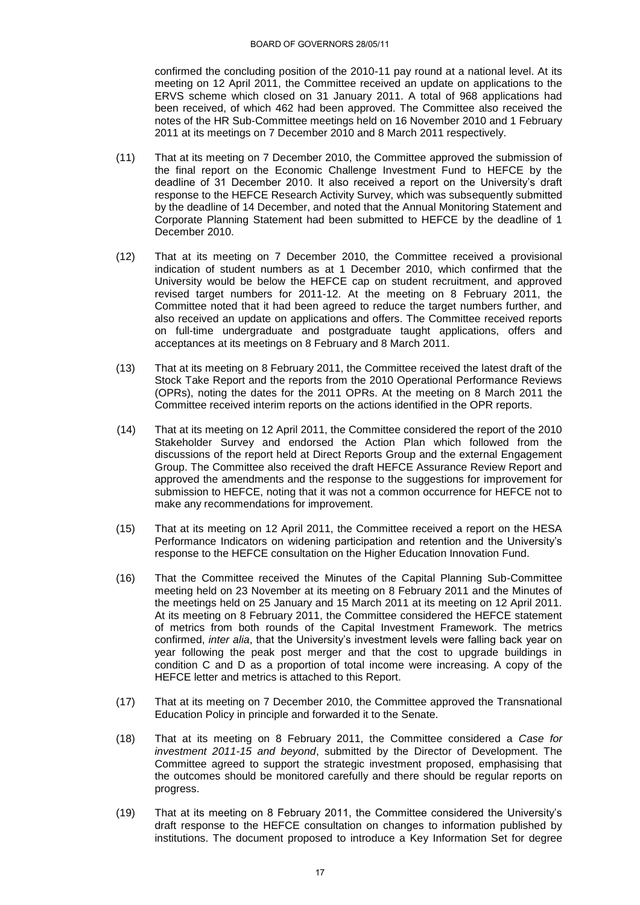confirmed the concluding position of the 2010-11 pay round at a national level. At its meeting on 12 April 2011, the Committee received an update on applications to the ERVS scheme which closed on 31 January 2011. A total of 968 applications had been received, of which 462 had been approved. The Committee also received the notes of the HR Sub-Committee meetings held on 16 November 2010 and 1 February 2011 at its meetings on 7 December 2010 and 8 March 2011 respectively.

- (11) That at its meeting on 7 December 2010, the Committee approved the submission of the final report on the Economic Challenge Investment Fund to HEFCE by the deadline of 31 December 2010. It also received a report on the University"s draft response to the HEFCE Research Activity Survey, which was subsequently submitted by the deadline of 14 December, and noted that the Annual Monitoring Statement and Corporate Planning Statement had been submitted to HEFCE by the deadline of 1 December 2010.
- (12) That at its meeting on 7 December 2010, the Committee received a provisional indication of student numbers as at 1 December 2010, which confirmed that the University would be below the HEFCE cap on student recruitment, and approved revised target numbers for 2011-12. At the meeting on 8 February 2011, the Committee noted that it had been agreed to reduce the target numbers further, and also received an update on applications and offers. The Committee received reports on full-time undergraduate and postgraduate taught applications, offers and acceptances at its meetings on 8 February and 8 March 2011.
- (13) That at its meeting on 8 February 2011, the Committee received the latest draft of the Stock Take Report and the reports from the 2010 Operational Performance Reviews (OPRs), noting the dates for the 2011 OPRs. At the meeting on 8 March 2011 the Committee received interim reports on the actions identified in the OPR reports.
- (14) That at its meeting on 12 April 2011, the Committee considered the report of the 2010 Stakeholder Survey and endorsed the Action Plan which followed from the discussions of the report held at Direct Reports Group and the external Engagement Group. The Committee also received the draft HEFCE Assurance Review Report and approved the amendments and the response to the suggestions for improvement for submission to HEFCE, noting that it was not a common occurrence for HEFCE not to make any recommendations for improvement.
- (15) That at its meeting on 12 April 2011, the Committee received a report on the HESA Performance Indicators on widening participation and retention and the University's response to the HEFCE consultation on the Higher Education Innovation Fund.
- (16) That the Committee received the Minutes of the Capital Planning Sub-Committee meeting held on 23 November at its meeting on 8 February 2011 and the Minutes of the meetings held on 25 January and 15 March 2011 at its meeting on 12 April 2011. At its meeting on 8 February 2011, the Committee considered the HEFCE statement of metrics from both rounds of the Capital Investment Framework. The metrics confirmed, *inter alia*, that the University"s investment levels were falling back year on year following the peak post merger and that the cost to upgrade buildings in condition C and D as a proportion of total income were increasing. A copy of the HEFCE letter and metrics is attached to this Report.
- (17) That at its meeting on 7 December 2010, the Committee approved the Transnational Education Policy in principle and forwarded it to the Senate.
- (18) That at its meeting on 8 February 2011, the Committee considered a *Case for investment 2011-15 and beyond*, submitted by the Director of Development. The Committee agreed to support the strategic investment proposed, emphasising that the outcomes should be monitored carefully and there should be regular reports on progress.
- (19) That at its meeting on 8 February 2011, the Committee considered the University"s draft response to the HEFCE consultation on changes to information published by institutions. The document proposed to introduce a Key Information Set for degree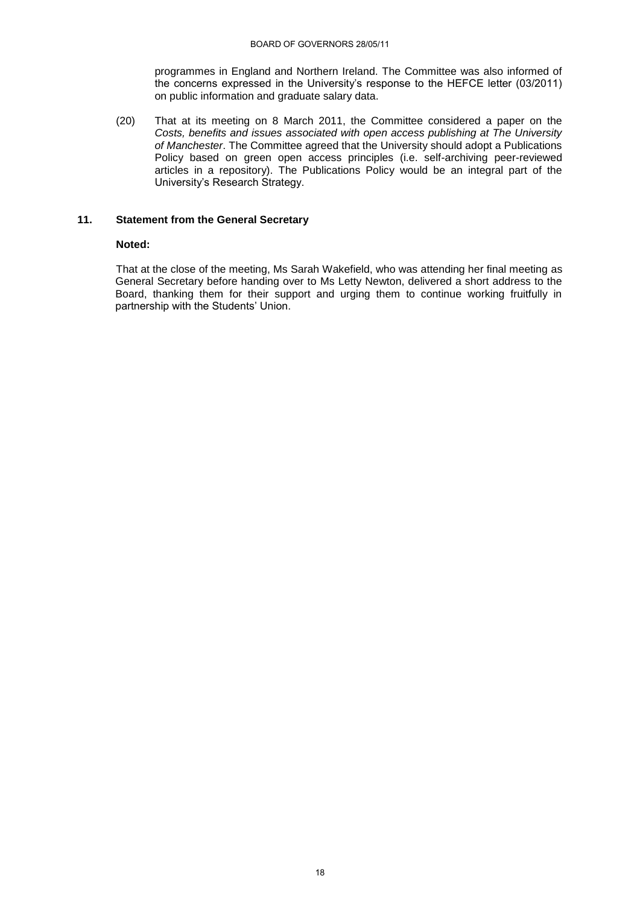programmes in England and Northern Ireland. The Committee was also informed of the concerns expressed in the University"s response to the HEFCE letter (03/2011) on public information and graduate salary data.

(20) That at its meeting on 8 March 2011, the Committee considered a paper on the *Costs, benefits and issues associated with open access publishing at The University of Manchester*. The Committee agreed that the University should adopt a Publications Policy based on green open access principles (i.e. self-archiving peer-reviewed articles in a repository). The Publications Policy would be an integral part of the University"s Research Strategy.

# **11. Statement from the General Secretary**

### **Noted:**

That at the close of the meeting, Ms Sarah Wakefield, who was attending her final meeting as General Secretary before handing over to Ms Letty Newton, delivered a short address to the Board, thanking them for their support and urging them to continue working fruitfully in partnership with the Students' Union.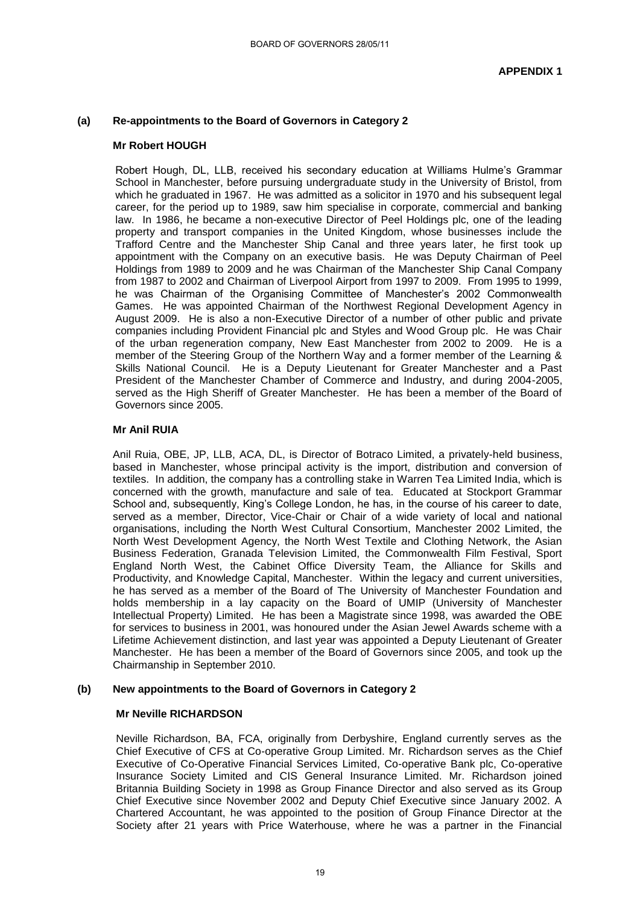### **(a) Re-appointments to the Board of Governors in Category 2**

### **Mr Robert HOUGH**

Robert Hough, DL, LLB, received his secondary education at Williams Hulme"s Grammar School in Manchester, before pursuing undergraduate study in the University of Bristol, from which he graduated in 1967. He was admitted as a solicitor in 1970 and his subsequent legal career, for the period up to 1989, saw him specialise in corporate, commercial and banking law. In 1986, he became a non-executive Director of Peel Holdings plc, one of the leading property and transport companies in the United Kingdom, whose businesses include the Trafford Centre and the Manchester Ship Canal and three years later, he first took up appointment with the Company on an executive basis. He was Deputy Chairman of Peel Holdings from 1989 to 2009 and he was Chairman of the Manchester Ship Canal Company from 1987 to 2002 and Chairman of Liverpool Airport from 1997 to 2009. From 1995 to 1999, he was Chairman of the Organising Committee of Manchester's 2002 Commonwealth Games. He was appointed Chairman of the Northwest Regional Development Agency in August 2009. He is also a non-Executive Director of a number of other public and private companies including Provident Financial plc and Styles and Wood Group plc. He was Chair of the urban regeneration company, New East Manchester from 2002 to 2009. He is a member of the Steering Group of the Northern Way and a former member of the Learning & Skills National Council. He is a Deputy Lieutenant for Greater Manchester and a Past President of the Manchester Chamber of Commerce and Industry, and during 2004-2005, served as the High Sheriff of Greater Manchester. He has been a member of the Board of Governors since 2005.

### **Mr Anil RUIA**

Anil Ruia, OBE, JP, LLB, ACA, DL, is Director of Botraco Limited, a privately-held business, based in Manchester, whose principal activity is the import, distribution and conversion of textiles. In addition, the company has a controlling stake in Warren Tea Limited India, which is concerned with the growth, manufacture and sale of tea. Educated at Stockport Grammar School and, subsequently, King"s College London, he has, in the course of his career to date, served as a member, Director, Vice-Chair or Chair of a wide variety of local and national organisations, including the North West Cultural Consortium, Manchester 2002 Limited, the North West Development Agency, the North West Textile and Clothing Network, the Asian Business Federation, Granada Television Limited, the Commonwealth Film Festival, Sport England North West, the Cabinet Office Diversity Team, the Alliance for Skills and Productivity, and Knowledge Capital, Manchester. Within the legacy and current universities, he has served as a member of the Board of The University of Manchester Foundation and holds membership in a lay capacity on the Board of UMIP (University of Manchester Intellectual Property) Limited. He has been a Magistrate since 1998, was awarded the OBE for services to business in 2001, was honoured under the Asian Jewel Awards scheme with a Lifetime Achievement distinction, and last year was appointed a Deputy Lieutenant of Greater Manchester. He has been a member of the Board of Governors since 2005, and took up the Chairmanship in September 2010.

## **(b) New appointments to the Board of Governors in Category 2**

### **Mr Neville RICHARDSON**

Neville Richardson, BA, FCA, originally from Derbyshire, England currently serves as the Chief Executive of CFS at Co-operative Group Limited. Mr. Richardson serves as the Chief Executive of Co-Operative Financial Services Limited, Co-operative Bank plc, Co-operative Insurance Society Limited and CIS General Insurance Limited. Mr. Richardson joined Britannia Building Society in 1998 as Group Finance Director and also served as its Group Chief Executive since November 2002 and Deputy Chief Executive since January 2002. A Chartered Accountant, he was appointed to the position of Group Finance Director at the Society after 21 years with Price Waterhouse, where he was a partner in the Financial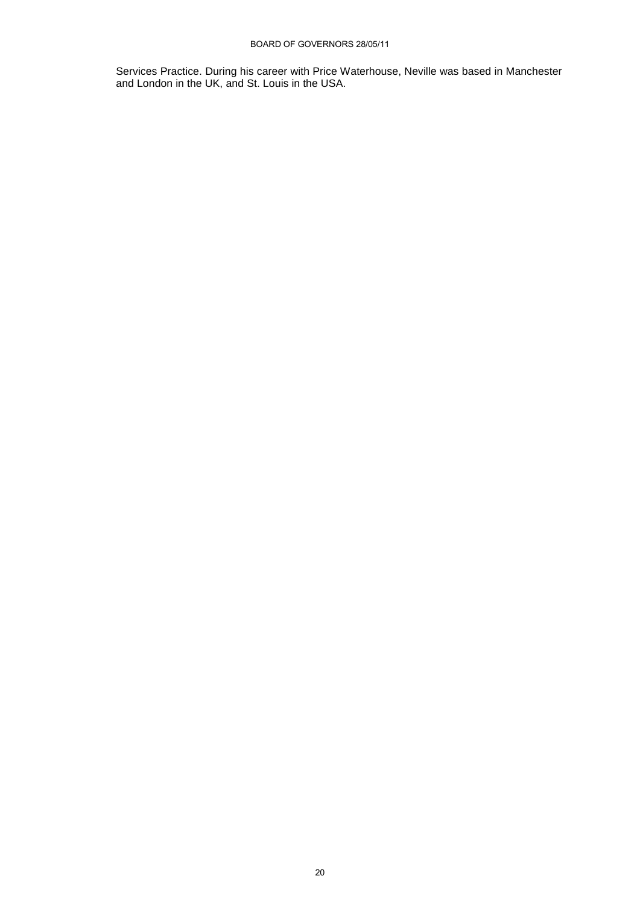Services Practice. During his career with Price Waterhouse, Neville was based in Manchester and London in the UK, and St. Louis in the USA.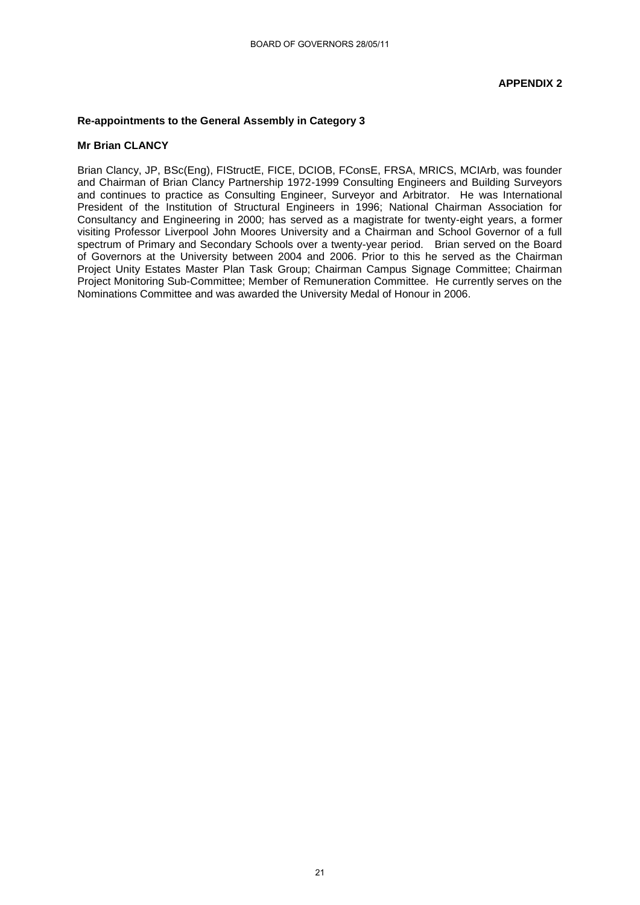### **Re-appointments to the General Assembly in Category 3**

### **Mr Brian CLANCY**

Brian Clancy, JP, BSc(Eng), FIStructE, FICE, DCIOB, FConsE, FRSA, MRICS, MCIArb, was founder and Chairman of Brian Clancy Partnership 1972-1999 Consulting Engineers and Building Surveyors and continues to practice as Consulting Engineer, Surveyor and Arbitrator. He was International President of the Institution of Structural Engineers in 1996; National Chairman Association for Consultancy and Engineering in 2000; has served as a magistrate for twenty-eight years, a former visiting Professor Liverpool John Moores University and a Chairman and School Governor of a full spectrum of Primary and Secondary Schools over a twenty-year period. Brian served on the Board of Governors at the University between 2004 and 2006. Prior to this he served as the Chairman Project Unity Estates Master Plan Task Group; Chairman Campus Signage Committee; Chairman Project Monitoring Sub-Committee; Member of Remuneration Committee. He currently serves on the Nominations Committee and was awarded the University Medal of Honour in 2006.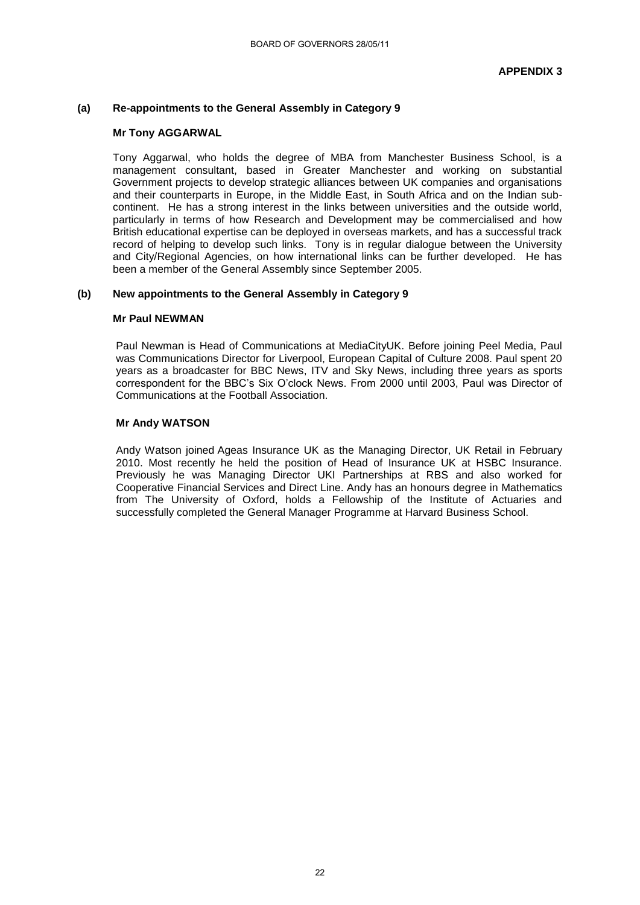### **(a) Re-appointments to the General Assembly in Category 9**

#### **Mr Tony AGGARWAL**

Tony Aggarwal, who holds the degree of MBA from Manchester Business School, is a management consultant, based in Greater Manchester and working on substantial Government projects to develop strategic alliances between UK companies and organisations and their counterparts in Europe, in the Middle East, in South Africa and on the Indian subcontinent. He has a strong interest in the links between universities and the outside world, particularly in terms of how Research and Development may be commercialised and how British educational expertise can be deployed in overseas markets, and has a successful track record of helping to develop such links. Tony is in regular dialogue between the University and City/Regional Agencies, on how international links can be further developed. He has been a member of the General Assembly since September 2005.

#### **(b) New appointments to the General Assembly in Category 9**

## **Mr Paul NEWMAN**

Paul Newman is Head of Communications at MediaCityUK. Before joining Peel Media, Paul was Communications Director for Liverpool, European Capital of Culture 2008. Paul spent 20 years as a broadcaster for BBC News, ITV and Sky News, including three years as sports correspondent for the BBC"s Six O"clock News. From 2000 until 2003, Paul was Director of Communications at the Football Association.

#### **Mr Andy WATSON**

Andy Watson joined Ageas Insurance UK as the Managing Director, UK Retail in February 2010. Most recently he held the position of Head of Insurance UK at HSBC Insurance. Previously he was Managing Director UKI Partnerships at RBS and also worked for Cooperative Financial Services and Direct Line. Andy has an honours degree in Mathematics from The University of Oxford, holds a Fellowship of the Institute of Actuaries and successfully completed the General Manager Programme at Harvard Business School.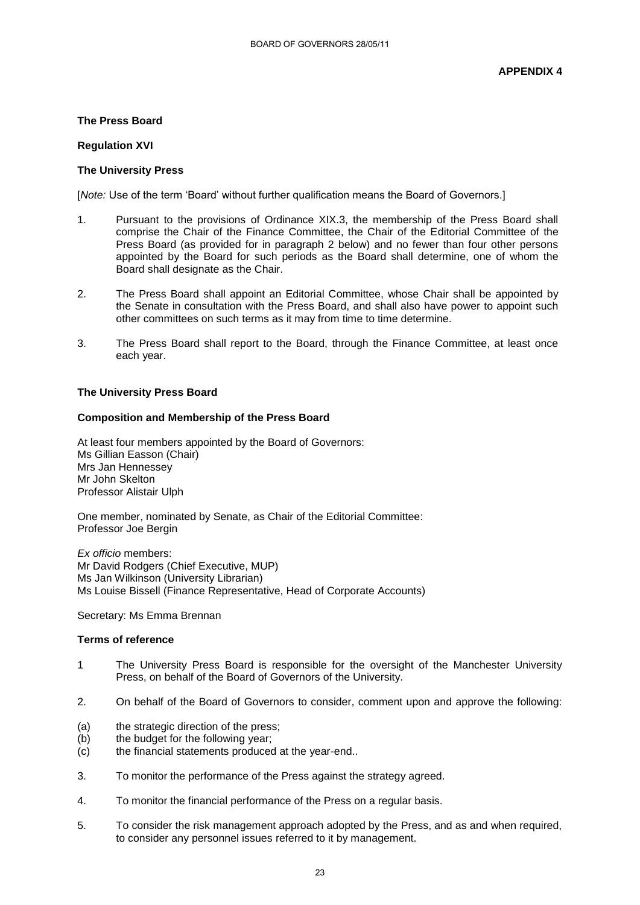### **The Press Board**

### **Regulation XVI**

### **The University Press**

[*Note:* Use of the term "Board" without further qualification means the Board of Governors.]

- 1. Pursuant to the provisions of Ordinance XIX.3, the membership of the Press Board shall comprise the Chair of the Finance Committee, the Chair of the Editorial Committee of the Press Board (as provided for in paragraph 2 below) and no fewer than four other persons appointed by the Board for such periods as the Board shall determine, one of whom the Board shall designate as the Chair.
- 2. The Press Board shall appoint an Editorial Committee, whose Chair shall be appointed by the Senate in consultation with the Press Board, and shall also have power to appoint such other committees on such terms as it may from time to time determine.
- 3. The Press Board shall report to the Board, through the Finance Committee, at least once each year.

## **The University Press Board**

#### **Composition and Membership of the Press Board**

At least four members appointed by the Board of Governors: Ms Gillian Easson (Chair) Mrs Jan Hennessey Mr John Skelton Professor Alistair Ulph

One member, nominated by Senate, as Chair of the Editorial Committee: Professor Joe Bergin

*Ex officio* members: Mr David Rodgers (Chief Executive, MUP) Ms Jan Wilkinson (University Librarian) Ms Louise Bissell (Finance Representative, Head of Corporate Accounts)

Secretary: Ms Emma Brennan

## **Terms of reference**

- 1 The University Press Board is responsible for the oversight of the Manchester University Press, on behalf of the Board of Governors of the University.
- 2. On behalf of the Board of Governors to consider, comment upon and approve the following:
- (a) the strategic direction of the press;
- (b) the budget for the following year;
- (c) the financial statements produced at the year-end..
- 3. To monitor the performance of the Press against the strategy agreed.
- 4. To monitor the financial performance of the Press on a regular basis.
- 5. To consider the risk management approach adopted by the Press, and as and when required, to consider any personnel issues referred to it by management.